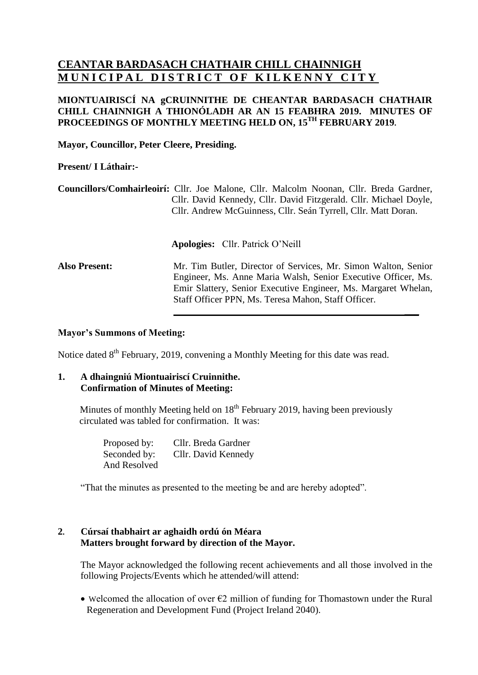# **CEANTAR BARDASACH CHATHAIR CHILL CHAINNIGH MUNICIPAL DISTRICT OF KILKENNY CITY**

# **MIONTUAIRISCÍ NA gCRUINNITHE DE CHEANTAR BARDASACH CHATHAIR CHILL CHAINNIGH A THIONÓLADH AR AN 15 FEABHRA 2019. MINUTES OF PROCEEDINGS OF MONTHLY MEETING HELD ON, 15 TH FEBRUARY 2019.**

**Mayor, Councillor, Peter Cleere, Presiding.**

# **Present/ I Láthair:-**

**Councillors/Comhairleoirí:** Cllr. Joe Malone, Cllr. Malcolm Noonan, Cllr. Breda Gardner, Cllr. David Kennedy, Cllr. David Fitzgerald. Cllr. Michael Doyle, Cllr. Andrew McGuinness, Cllr. Seán Tyrrell, Cllr. Matt Doran.

**Apologies:** Cllr. Patrick O'Neill

**Also Present:** Mr. Tim Butler, Director of Services, Mr. Simon Walton, Senior Engineer, Ms. Anne Maria Walsh, Senior Executive Officer, Ms. Emir Slattery, Senior Executive Engineer, Ms. Margaret Whelan, Staff Officer PPN, Ms. Teresa Mahon, Staff Officer.

**\_\_\_**

#### **Mayor's Summons of Meeting:**

Notice dated 8<sup>th</sup> February, 2019, convening a Monthly Meeting for this date was read.

#### **1. A dhaingniú Miontuairiscí Cruinnithe. Confirmation of Minutes of Meeting:**

Minutes of monthly Meeting held on 18<sup>th</sup> February 2019, having been previously circulated was tabled for confirmation. It was:

> Proposed by: Cllr. Breda Gardner Seconded by: Cllr. David Kennedy And Resolved

"That the minutes as presented to the meeting be and are hereby adopted".

#### **2. Cúrsaí thabhairt ar aghaidh ordú ón Méara Matters brought forward by direction of the Mayor.**

The Mayor acknowledged the following recent achievements and all those involved in the following Projects/Events which he attended/will attend:

• Welcomed the allocation of over  $\epsilon$ 2 million of funding for Thomastown under the Rural Regeneration and Development Fund (Project Ireland 2040).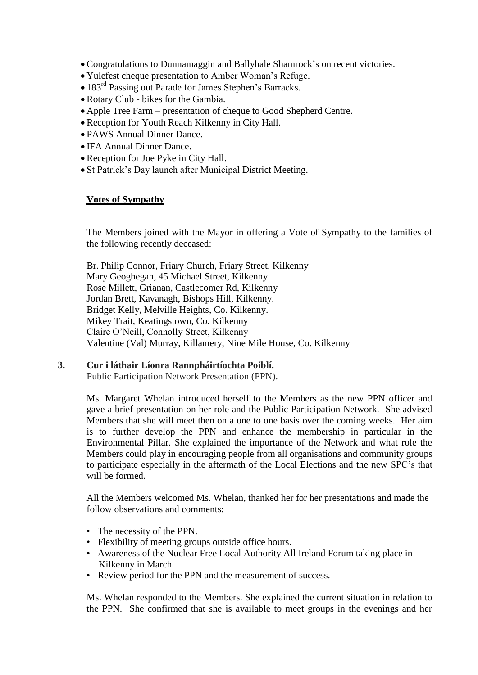- Congratulations to Dunnamaggin and Ballyhale Shamrock's on recent victories.
- Yulefest cheque presentation to Amber Woman's Refuge.
- 183<sup>rd</sup> Passing out Parade for James Stephen's Barracks.
- Rotary Club bikes for the Gambia.
- Apple Tree Farm presentation of cheque to Good Shepherd Centre.
- Reception for Youth Reach Kilkenny in City Hall.
- PAWS Annual Dinner Dance.
- IFA Annual Dinner Dance.
- Reception for Joe Pyke in City Hall.
- St Patrick's Day launch after Municipal District Meeting.

#### **Votes of Sympathy**

The Members joined with the Mayor in offering a Vote of Sympathy to the families of the following recently deceased:

Br. Philip Connor, Friary Church, Friary Street, Kilkenny Mary Geoghegan, 45 Michael Street, Kilkenny Rose Millett, Grianan, Castlecomer Rd, Kilkenny Jordan Brett, Kavanagh, Bishops Hill, Kilkenny. Bridget Kelly, Melville Heights, Co. Kilkenny. Mikey Trait, Keatingstown, Co. Kilkenny Claire O'Neill, Connolly Street, Kilkenny Valentine (Val) Murray, Killamery, Nine Mile House, Co. Kilkenny

#### **3. Cur i láthair Líonra Rannpháirtíochta Poiblí.**

Public Participation Network Presentation (PPN).

Ms. Margaret Whelan introduced herself to the Members as the new PPN officer and gave a brief presentation on her role and the Public Participation Network. She advised Members that she will meet then on a one to one basis over the coming weeks. Her aim is to further develop the PPN and enhance the membership in particular in the Environmental Pillar. She explained the importance of the Network and what role the Members could play in encouraging people from all organisations and community groups to participate especially in the aftermath of the Local Elections and the new SPC's that will be formed.

All the Members welcomed Ms. Whelan, thanked her for her presentations and made the follow observations and comments:

- The necessity of the PPN.
- Flexibility of meeting groups outside office hours.
- Awareness of the Nuclear Free Local Authority All Ireland Forum taking place in Kilkenny in March.
- Review period for the PPN and the measurement of success.

Ms. Whelan responded to the Members. She explained the current situation in relation to the PPN. She confirmed that she is available to meet groups in the evenings and her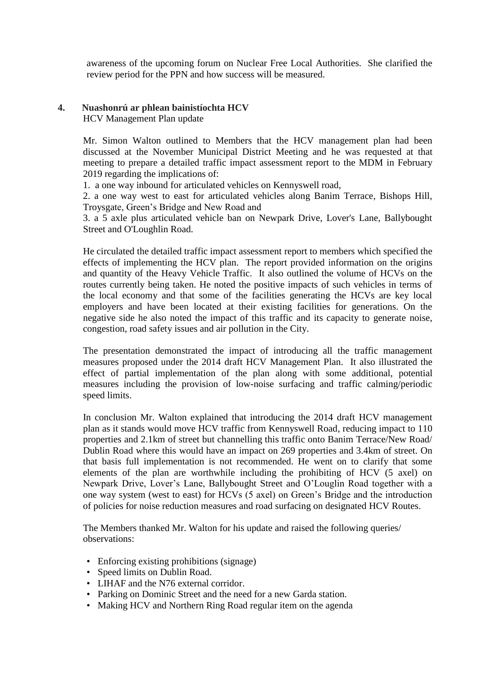awareness of the upcoming forum on Nuclear Free Local Authorities. She clarified the review period for the PPN and how success will be measured.

# **4. Nuashonrú ar phlean bainistíochta HCV**

HCV Management Plan update

Mr. Simon Walton outlined to Members that the HCV management plan had been discussed at the November Municipal District Meeting and he was requested at that meeting to prepare a detailed traffic impact assessment report to the MDM in February 2019 regarding the implications of:

1. a one way inbound for articulated vehicles on Kennyswell road,

2. a one way west to east for articulated vehicles along Banim Terrace, Bishops Hill, Troysgate, Green's Bridge and New Road and

3. a 5 axle plus articulated vehicle ban on Newpark Drive, Lover's Lane, Ballybought Street and O'Loughlin Road.

He circulated the detailed traffic impact assessment report to members which specified the effects of implementing the HCV plan. The report provided information on the origins and quantity of the Heavy Vehicle Traffic. It also outlined the volume of HCVs on the routes currently being taken. He noted the positive impacts of such vehicles in terms of the local economy and that some of the facilities generating the HCVs are key local employers and have been located at their existing facilities for generations. On the negative side he also noted the impact of this traffic and its capacity to generate noise, congestion, road safety issues and air pollution in the City.

The presentation demonstrated the impact of introducing all the traffic management measures proposed under the 2014 draft HCV Management Plan. It also illustrated the effect of partial implementation of the plan along with some additional, potential measures including the provision of low-noise surfacing and traffic calming/periodic speed limits.

In conclusion Mr. Walton explained that introducing the 2014 draft HCV management plan as it stands would move HCV traffic from Kennyswell Road, reducing impact to 110 properties and 2.1km of street but channelling this traffic onto Banim Terrace/New Road/ Dublin Road where this would have an impact on 269 properties and 3.4km of street. On that basis full implementation is not recommended. He went on to clarify that some elements of the plan are worthwhile including the prohibiting of HCV (5 axel) on Newpark Drive, Lover's Lane, Ballybought Street and O'Louglin Road together with a one way system (west to east) for HCVs (5 axel) on Green's Bridge and the introduction of policies for noise reduction measures and road surfacing on designated HCV Routes.

The Members thanked Mr. Walton for his update and raised the following queries/ observations:

- Enforcing existing prohibitions (signage)
- Speed limits on Dublin Road.
- LIHAF and the N76 external corridor.
- Parking on Dominic Street and the need for a new Garda station.
- Making HCV and Northern Ring Road regular item on the agenda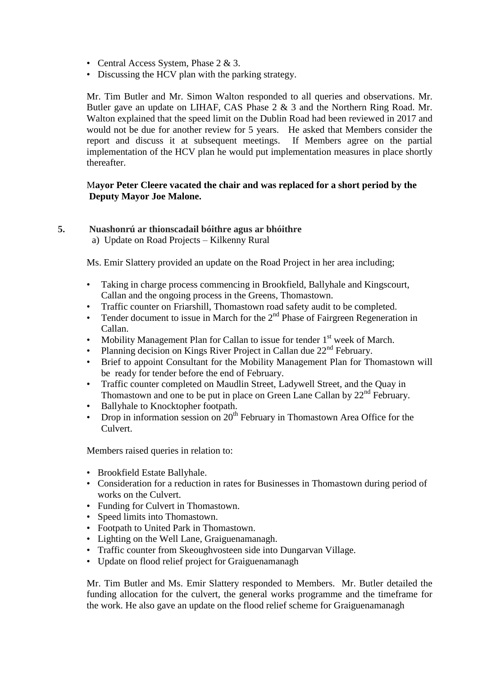- Central Access System, Phase 2 & 3.
- Discussing the HCV plan with the parking strategy.

Mr. Tim Butler and Mr. Simon Walton responded to all queries and observations. Mr. Butler gave an update on LIHAF, CAS Phase 2 & 3 and the Northern Ring Road. Mr. Walton explained that the speed limit on the Dublin Road had been reviewed in 2017 and would not be due for another review for 5 years. He asked that Members consider the report and discuss it at subsequent meetings. If Members agree on the partial implementation of the HCV plan he would put implementation measures in place shortly thereafter.

# M**ayor Peter Cleere vacated the chair and was replaced for a short period by the Deputy Mayor Joe Malone.**

#### **5. Nuashonrú ar thionscadail bóithre agus ar bhóithre**

a) Update on Road Projects – Kilkenny Rural

Ms. Emir Slattery provided an update on the Road Project in her area including;

- Taking in charge process commencing in Brookfield, Ballyhale and Kingscourt, Callan and the ongoing process in the Greens, Thomastown.
- Traffic counter on Friarshill, Thomastown road safety audit to be completed.
- Tender document to issue in March for the  $2<sup>nd</sup>$  Phase of Fairgreen Regeneration in Callan.
- Mobility Management Plan for Callan to issue for tender  $1<sup>st</sup>$  week of March.
- Planning decision on Kings River Project in Callan due  $22<sup>nd</sup>$  February.
- Brief to appoint Consultant for the Mobility Management Plan for Thomastown will be ready for tender before the end of February.
- Traffic counter completed on Maudlin Street, Ladywell Street, and the Quay in Thomastown and one to be put in place on Green Lane Callan by 22<sup>nd</sup> February.
- Ballyhale to Knocktopher footpath.
- Drop in information session on  $20<sup>th</sup>$  February in Thomastown Area Office for the Culvert.

Members raised queries in relation to:

- Brookfield Estate Ballyhale.
- Consideration for a reduction in rates for Businesses in Thomastown during period of works on the Culvert.
- Funding for Culvert in Thomastown.
- Speed limits into Thomastown.
- Footpath to United Park in Thomastown.
- Lighting on the Well Lane, Graiguenamanagh.
- Traffic counter from Skeoughvosteen side into Dungarvan Village.
- Update on flood relief project for Graiguenamanagh

Mr. Tim Butler and Ms. Emir Slattery responded to Members. Mr. Butler detailed the funding allocation for the culvert, the general works programme and the timeframe for the work. He also gave an update on the flood relief scheme for Graiguenamanagh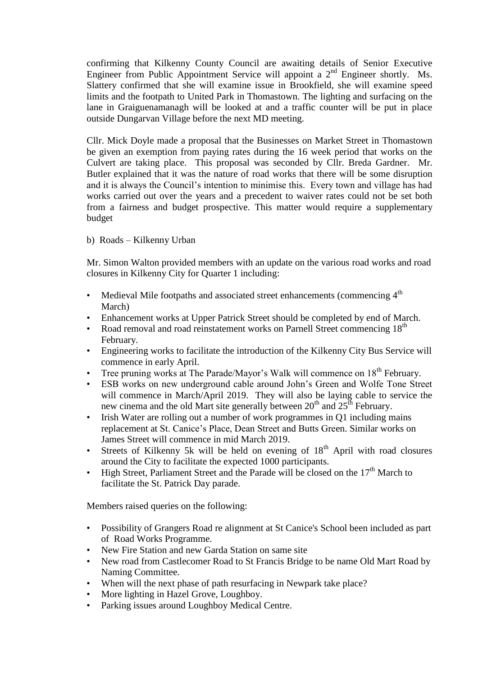confirming that Kilkenny County Council are awaiting details of Senior Executive Engineer from Public Appointment Service will appoint a 2<sup>nd</sup> Engineer shortly. Ms. Slattery confirmed that she will examine issue in Brookfield, she will examine speed limits and the footpath to United Park in Thomastown. The lighting and surfacing on the lane in Graiguenamanagh will be looked at and a traffic counter will be put in place outside Dungarvan Village before the next MD meeting.

Cllr. Mick Doyle made a proposal that the Businesses on Market Street in Thomastown be given an exemption from paying rates during the 16 week period that works on the Culvert are taking place. This proposal was seconded by Cllr. Breda Gardner. Mr. Butler explained that it was the nature of road works that there will be some disruption and it is always the Council's intention to minimise this. Every town and village has had works carried out over the years and a precedent to waiver rates could not be set both from a fairness and budget prospective. This matter would require a supplementary budget

b) Roads – Kilkenny Urban

Mr. Simon Walton provided members with an update on the various road works and road closures in Kilkenny City for Quarter 1 including:

- Medieval Mile footpaths and associated street enhancements (commencing  $4<sup>th</sup>$ March)
- Enhancement works at Upper Patrick Street should be completed by end of March.
- Road removal and road reinstatement works on Parnell Street commencing 18<sup>th</sup> February.
- Engineering works to facilitate the introduction of the Kilkenny City Bus Service will commence in early April.
- Tree pruning works at The Parade/Mayor's Walk will commence on 18<sup>th</sup> February.
- ESB works on new underground cable around John's Green and Wolfe Tone Street will commence in March/April 2019. They will also be laying cable to service the new cinema and the old Mart site generally between  $20<sup>th</sup>$  and  $25<sup>th</sup>$  February.
- Irish Water are rolling out a number of work programmes in Q1 including mains replacement at St. Canice's Place, Dean Street and Butts Green. Similar works on James Street will commence in mid March 2019.
- Streets of Kilkenny 5k will be held on evening of  $18<sup>th</sup>$  April with road closures around the City to facilitate the expected 1000 participants.
- High Street, Parliament Street and the Parade will be closed on the 17<sup>th</sup> March to facilitate the St. Patrick Day parade.

Members raised queries on the following:

- Possibility of Grangers Road re alignment at St Canice's School been included as part of Road Works Programme.
- New Fire Station and new Garda Station on same site
- New road from Castlecomer Road to St Francis Bridge to be name Old Mart Road by Naming Committee.
- When will the next phase of path resurfacing in Newpark take place?
- More lighting in Hazel Grove, Loughboy.
- Parking issues around Loughboy Medical Centre.